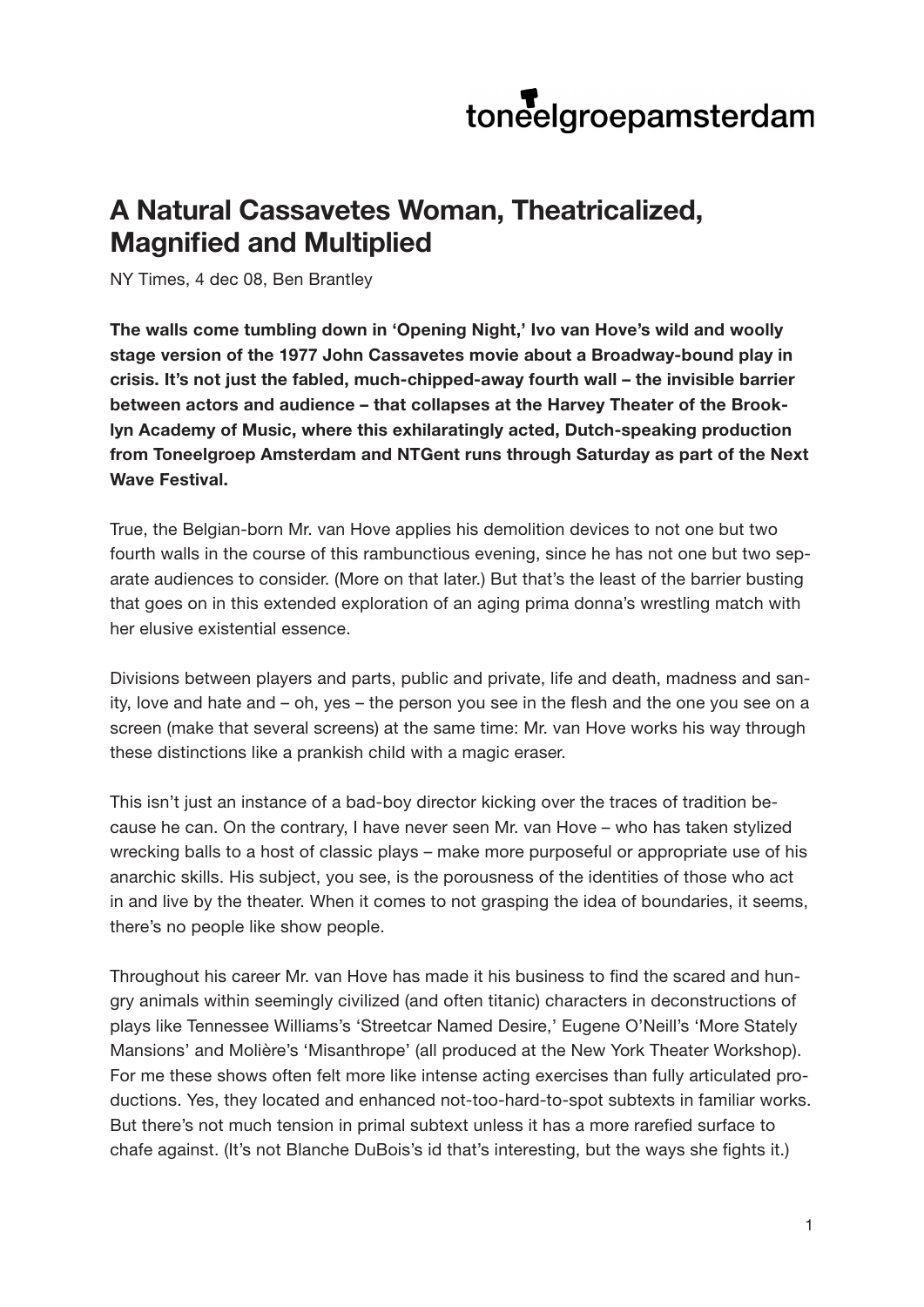## toneelgroepamsterdam

## **A Natural Cassavetes Woman, Theatricalized, Magnified and Multiplied**

NY Times, 4 dec 08, Ben Brantley

**The walls come tumbling down in 'Opening Night,' Ivo van Hove's wild and woolly stage version of the 1977 John Cassavetes movie about a Broadway-bound play in crisis. It's not just the fabled, much-chipped-away fourth wall – the invisible barrier between actors and audience – that collapses at the Harvey Theater of the Brooklyn Academy of Music, where this exhilaratingly acted, Dutch-speaking production from Toneelgroep Amsterdam and NTGent runs through Saturday as part of the Next Wave Festival.**

True, the Belgian-born Mr. van Hove applies his demolition devices to not one but two fourth walls in the course of this rambunctious evening, since he has not one but two separate audiences to consider. (More on that later.) But that's the least of the barrier busting that goes on in this extended exploration of an aging prima donna's wrestling match with her elusive existential essence.

Divisions between players and parts, public and private, life and death, madness and sanity, love and hate and – oh, yes – the person you see in the flesh and the one you see on a screen (make that several screens) at the same time: Mr. van Hove works his way through these distinctions like a prankish child with a magic eraser.

This isn't just an instance of a bad-boy director kicking over the traces of tradition because he can. On the contrary, I have never seen Mr. van Hove – who has taken stylized wrecking balls to a host of classic plays – make more purposeful or appropriate use of his anarchic skills. His subject, you see, is the porousness of the identities of those who act in and live by the theater. When it comes to not grasping the idea of boundaries, it seems, there's no people like show people.

Throughout his career Mr. van Hove has made it his business to find the scared and hungry animals within seemingly civilized (and often titanic) characters in deconstructions of plays like Tennessee Williams's 'Streetcar Named Desire,' Eugene O'Neill's 'More Stately Mansions' and Molière's 'Misanthrope' (all produced at the New York Theater Workshop). For me these shows often felt more like intense acting exercises than fully articulated productions. Yes, they located and enhanced not-too-hard-to-spot subtexts in familiar works. But there's not much tension in primal subtext unless it has a more rarefied surface to chafe against. (It's not Blanche DuBois's id that's interesting, but the ways she fights it.)